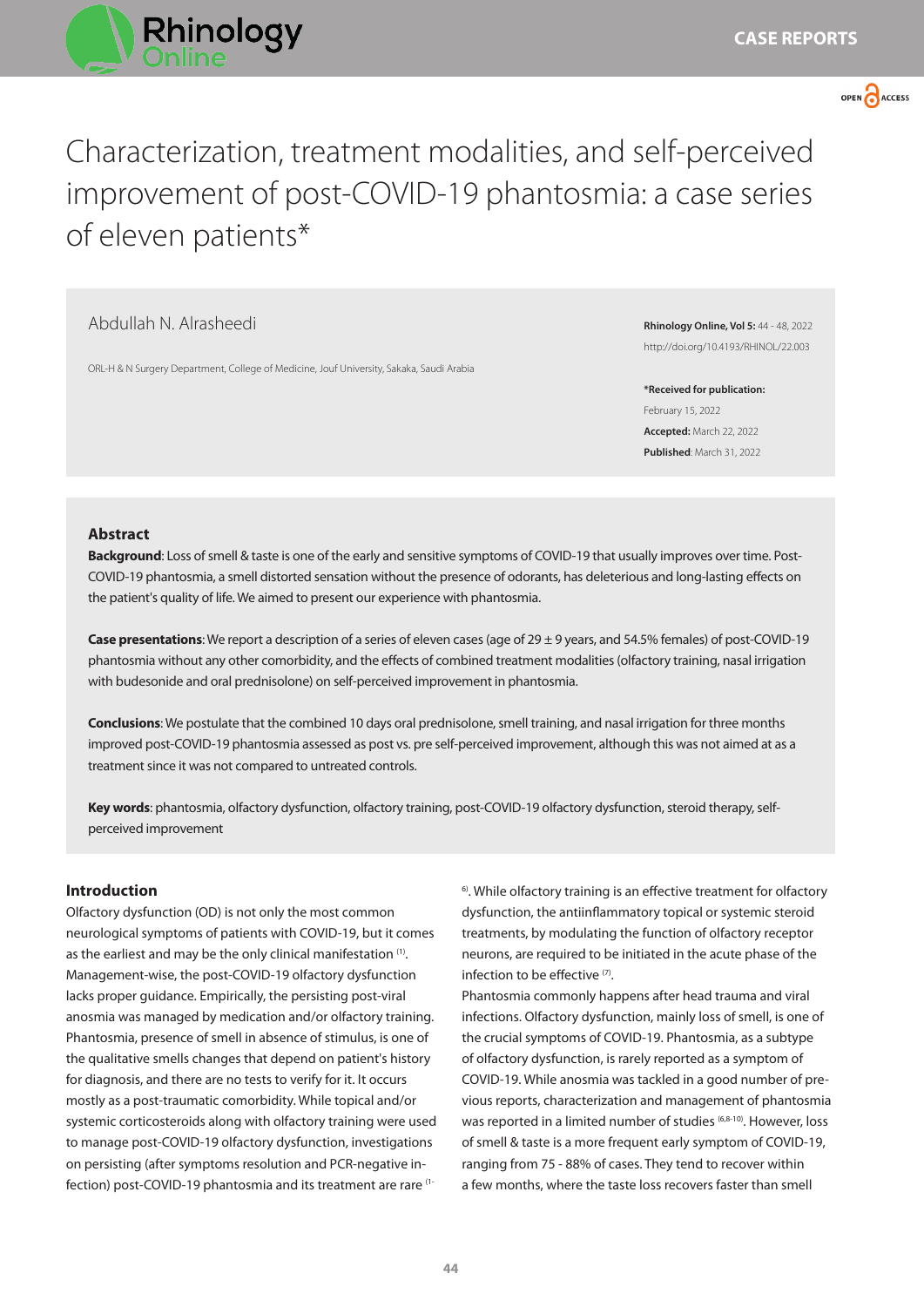



Characterization, treatment modalities, and self-perceived improvement of post-COVID-19 phantosmia: a case series of eleven patients\*

# Abdullah N. Alrasheedi

ORL-H & N Surgery Department, College of Medicine, Jouf University, Sakaka, Saudi Arabia

**Rhinology Online, Vol 5:** 44 - 48, 2022 http://doi.org/10.4193/RHINOL/22.003

**\*Received for publication:** February 15, 2022 **Accepted:** March 22, 2022 **Published**: March 31, 2022

### **Abstract**

**Background**: Loss of smell & taste is one of the early and sensitive symptoms of COVID-19 that usually improves over time. Post-COVID-19 phantosmia, a smell distorted sensation without the presence of odorants, has deleterious and long-lasting effects on the patient's quality of life. We aimed to present our experience with phantosmia.

**Case presentations**: We report a description of a series of eleven cases (age of 29 ± 9 years, and 54.5% females) of post-COVID-19 phantosmia without any other comorbidity, and the effects of combined treatment modalities (olfactory training, nasal irrigation with budesonide and oral prednisolone) on self-perceived improvement in phantosmia.

**Conclusions**: We postulate that the combined 10 days oral prednisolone, smell training, and nasal irrigation for three months improved post-COVID-19 phantosmia assessed as post vs. pre self-perceived improvement, although this was not aimed at as a treatment since it was not compared to untreated controls.

**Key words**: phantosmia, olfactory dysfunction, olfactory training, post-COVID-19 olfactory dysfunction, steroid therapy, selfperceived improvement

# **Introduction**

Olfactory dysfunction (OD) is not only the most common neurological symptoms of patients with COVID-19, but it comes as the earliest and may be the only clinical manifestation <sup>(1)</sup>. Management-wise, the post-COVID-19 olfactory dysfunction lacks proper guidance. Empirically, the persisting post-viral anosmia was managed by medication and/or olfactory training. Phantosmia, presence of smell in absence of stimulus, is one of the qualitative smells changes that depend on patient's history for diagnosis, and there are no tests to verify for it. It occurs mostly as a post-traumatic comorbidity. While topical and/or systemic corticosteroids along with olfactory training were used to manage post-COVID-19 olfactory dysfunction, investigations on persisting (after symptoms resolution and PCR-negative infection) post-COVID-19 phantosmia and its treatment are rare (1<sup>6)</sup>. While olfactory training is an effective treatment for olfactory dysfunction, the antiinflammatory topical or systemic steroid treatments, by modulating the function of olfactory receptor neurons, are required to be initiated in the acute phase of the infection to be effective (7).

Phantosmia commonly happens after head trauma and viral infections. Olfactory dysfunction, mainly loss of smell, is one of the crucial symptoms of COVID-19. Phantosmia, as a subtype of olfactory dysfunction, is rarely reported as a symptom of COVID-19. While anosmia was tackled in a good number of previous reports, characterization and management of phantosmia was reported in a limited number of studies (6,8-10). However, loss of smell & taste is a more frequent early symptom of COVID-19, ranging from 75 - 88% of cases. They tend to recover within a few months, where the taste loss recovers faster than smell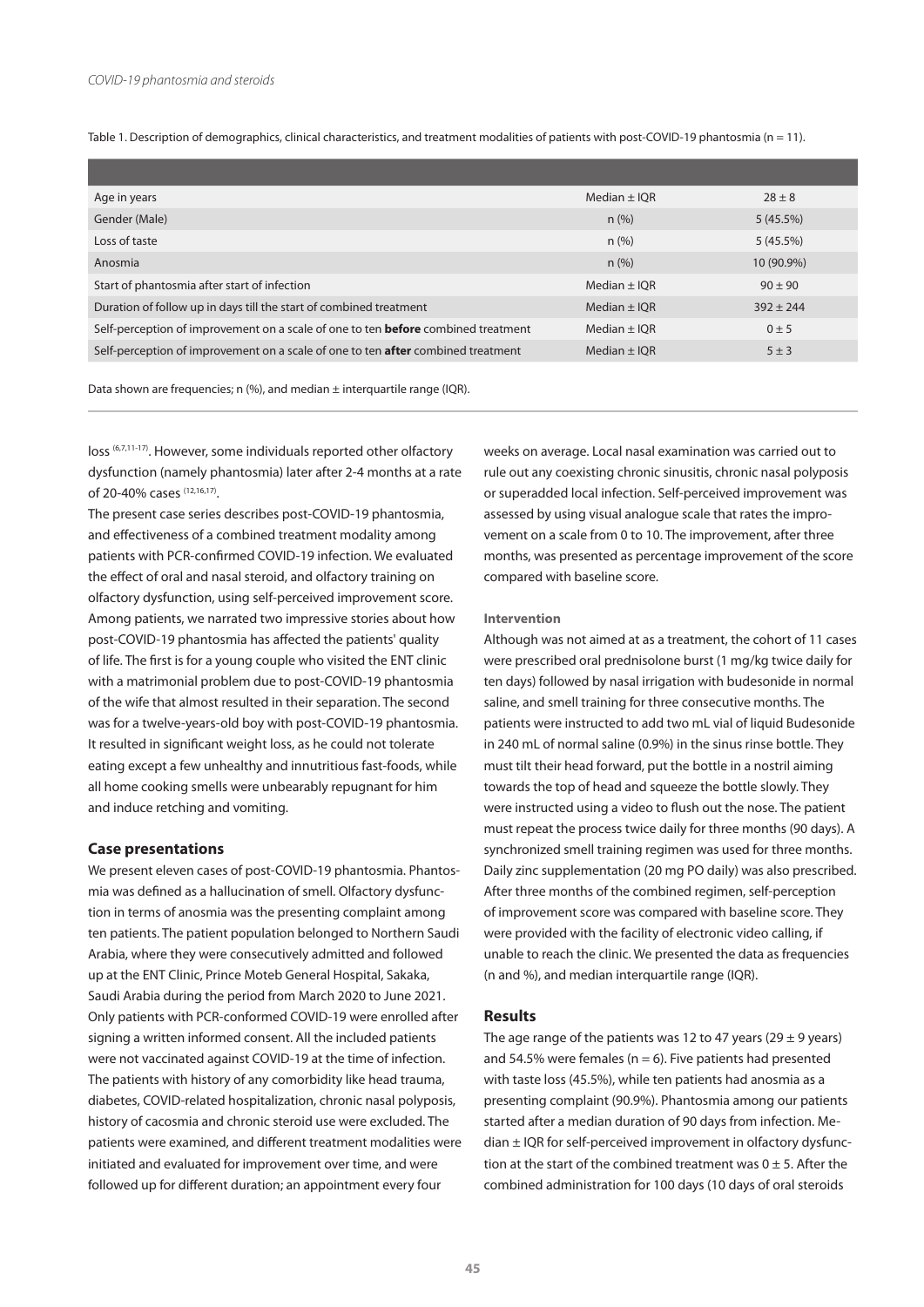Table 1. Description of demographics, clinical characteristics, and treatment modalities of patients with post-COVID-19 phantosmia (n = 11).

| Age in years                                                                             | Median $\pm$ IQR | $28 \pm 8$  |
|------------------------------------------------------------------------------------------|------------------|-------------|
| Gender (Male)                                                                            | $n$ (%)          | 5(45.5%)    |
| Loss of taste                                                                            | $n$ (%)          | 5(45.5%)    |
| Anosmia                                                                                  | $n$ (%)          | 10 (90.9%)  |
| Start of phantosmia after start of infection                                             | Median $\pm$ IQR | $90 \pm 90$ |
| Duration of follow up in days till the start of combined treatment                       | Median $\pm$ IOR | $392 + 244$ |
| Self-perception of improvement on a scale of one to ten <b>before</b> combined treatment | Median $\pm$ IOR | $0 \pm 5$   |
| Self-perception of improvement on a scale of one to ten <b>after</b> combined treatment  | Median $\pm$ IQR | $5 \pm 3$   |

Data shown are frequencies; n (%), and median ± interquartile range (IQR).

loss (6,7,11-17). However, some individuals reported other olfactory dysfunction (namely phantosmia) later after 2-4 months at a rate of 20-40% cases (12,16,17).

The present case series describes post-COVID-19 phantosmia, and effectiveness of a combined treatment modality among patients with PCR-confirmed COVID-19 infection. We evaluated the effect of oral and nasal steroid, and olfactory training on olfactory dysfunction, using self-perceived improvement score. Among patients, we narrated two impressive stories about how post-COVID-19 phantosmia has affected the patients' quality of life. The first is for a young couple who visited the ENT clinic with a matrimonial problem due to post-COVID-19 phantosmia of the wife that almost resulted in their separation. The second was for a twelve-years-old boy with post-COVID-19 phantosmia. It resulted in significant weight loss, as he could not tolerate eating except a few unhealthy and innutritious fast-foods, while all home cooking smells were unbearably repugnant for him and induce retching and vomiting.

#### **Case presentations**

We present eleven cases of post-COVID-19 phantosmia. Phantosmia was defined as a hallucination of smell. Olfactory dysfunction in terms of anosmia was the presenting complaint among ten patients. The patient population belonged to Northern Saudi Arabia, where they were consecutively admitted and followed up at the ENT Clinic, Prince Moteb General Hospital, Sakaka, Saudi Arabia during the period from March 2020 to June 2021. Only patients with PCR-conformed COVID-19 were enrolled after signing a written informed consent. All the included patients were not vaccinated against COVID-19 at the time of infection. The patients with history of any comorbidity like head trauma, diabetes, COVID-related hospitalization, chronic nasal polyposis, history of cacosmia and chronic steroid use were excluded. The patients were examined, and different treatment modalities were initiated and evaluated for improvement over time, and were followed up for different duration; an appointment every four

weeks on average. Local nasal examination was carried out to rule out any coexisting chronic sinusitis, chronic nasal polyposis or superadded local infection. Self-perceived improvement was assessed by using visual analogue scale that rates the improvement on a scale from 0 to 10. The improvement, after three months, was presented as percentage improvement of the score compared with baseline score.

#### **Intervention**

Although was not aimed at as a treatment, the cohort of 11 cases were prescribed oral prednisolone burst (1 mg/kg twice daily for ten days) followed by nasal irrigation with budesonide in normal saline, and smell training for three consecutive months. The patients were instructed to add two mL vial of liquid Budesonide in 240 mL of normal saline (0.9%) in the sinus rinse bottle. They must tilt their head forward, put the bottle in a nostril aiming towards the top of head and squeeze the bottle slowly. They were instructed using a video to flush out the nose. The patient must repeat the process twice daily for three months (90 days). A synchronized smell training regimen was used for three months. Daily zinc supplementation (20 mg PO daily) was also prescribed. After three months of the combined regimen, self-perception of improvement score was compared with baseline score. They were provided with the facility of electronic video calling, if unable to reach the clinic. We presented the data as frequencies (n and %), and median interquartile range (IQR).

#### **Results**

The age range of the patients was 12 to 47 years (29  $\pm$  9 years) and 54.5% were females ( $n = 6$ ). Five patients had presented with taste loss (45.5%), while ten patients had anosmia as a presenting complaint (90.9%). Phantosmia among our patients started after a median duration of 90 days from infection. Me $d$ ian  $\pm$  IQR for self-perceived improvement in olfactory dysfunction at the start of the combined treatment was  $0 \pm 5$ . After the combined administration for 100 days (10 days of oral steroids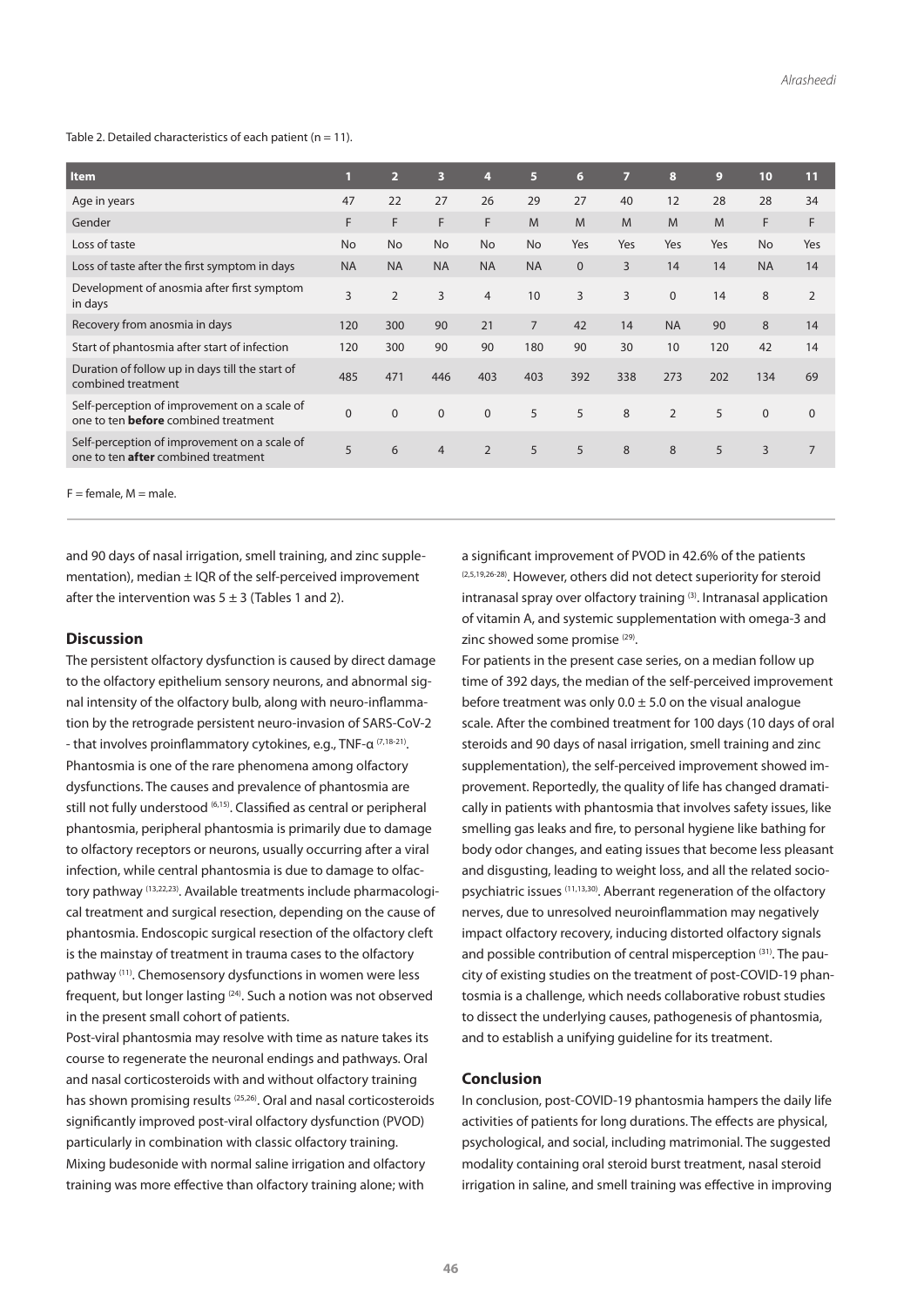Table 2. Detailed characteristics of each patient ( $n = 11$ ).

| <b>Item</b>                                                                                 | 1         | $\overline{2}$ | 3              | 4              | 5              | $6\phantom{1}$ | 7   | 8              | 9   | 10        | 11           |  |
|---------------------------------------------------------------------------------------------|-----------|----------------|----------------|----------------|----------------|----------------|-----|----------------|-----|-----------|--------------|--|
| Age in years                                                                                | 47        | 22             | 27             | 26             | 29             | 27             | 40  | 12             | 28  | 28        | 34           |  |
| Gender                                                                                      | F         | F              | F              | F.             | M              | M              | M   | M              | M   | F         | F            |  |
| Loss of taste                                                                               | <b>No</b> | <b>No</b>      | <b>No</b>      | <b>No</b>      | <b>No</b>      | Yes            | Yes | Yes            | Yes | <b>No</b> | Yes          |  |
| Loss of taste after the first symptom in days                                               | <b>NA</b> | <b>NA</b>      | <b>NA</b>      | <b>NA</b>      | <b>NA</b>      | $\mathbf{0}$   | 3   | 14             | 14  | <b>NA</b> | 14           |  |
| Development of anosmia after first symptom<br>in days                                       | 3         | $\overline{2}$ | 3              | $\overline{4}$ | 10             | 3              | 3   | $\mathbf{0}$   | 14  | 8         | 2            |  |
| Recovery from anosmia in days                                                               | 120       | 300            | 90             | 21             | $\overline{7}$ | 42             | 14  | <b>NA</b>      | 90  | 8         | 14           |  |
| Start of phantosmia after start of infection                                                | 120       | 300            | 90             | 90             | 180            | 90             | 30  | 10             | 120 | 42        | 14           |  |
| Duration of follow up in days till the start of<br>combined treatment                       | 485       | 471            | 446            | 403            | 403            | 392            | 338 | 273            | 202 | 134       | 69           |  |
| Self-perception of improvement on a scale of<br>one to ten <b>before</b> combined treatment | $\Omega$  | $\Omega$       | $\mathbf{0}$   | $\mathbf{0}$   | 5              | 5              | 8   | $\overline{2}$ | 5   | $\pmb{0}$ | $\mathbf{0}$ |  |
| Self-perception of improvement on a scale of<br>one to ten <b>after</b> combined treatment  | 5         | 6              | $\overline{4}$ | $\overline{2}$ | 5              | 5              | 8   | 8              | 5   | 3         | 7            |  |
|                                                                                             |           |                |                |                |                |                |     |                |     |           |              |  |

 $F =$  female,  $M =$  male.

and 90 days of nasal irrigation, smell training, and zinc supplementation), median  $\pm$  IQR of the self-perceived improvement after the intervention was  $5 \pm 3$  (Tables 1 and 2).

### **Discussion**

The persistent olfactory dysfunction is caused by direct damage to the olfactory epithelium sensory neurons, and abnormal signal intensity of the olfactory bulb, along with neuro-inflammation by the retrograde persistent neuro-invasion of SARS-CoV-2 - that involves proinflammatory cytokines, e.g., TNF-α (7,18-21). Phantosmia is one of the rare phenomena among olfactory dysfunctions. The causes and prevalence of phantosmia are still not fully understood (6,15). Classified as central or peripheral phantosmia, peripheral phantosmia is primarily due to damage to olfactory receptors or neurons, usually occurring after a viral infection, while central phantosmia is due to damage to olfactory pathway (13,22,23). Available treatments include pharmacological treatment and surgical resection, depending on the cause of phantosmia. Endoscopic surgical resection of the olfactory cleft is the mainstay of treatment in trauma cases to the olfactory pathway (11). Chemosensory dysfunctions in women were less frequent, but longer lasting (24). Such a notion was not observed in the present small cohort of patients.

Post-viral phantosmia may resolve with time as nature takes its course to regenerate the neuronal endings and pathways. Oral and nasal corticosteroids with and without olfactory training has shown promising results (25,26). Oral and nasal corticosteroids significantly improved post-viral olfactory dysfunction (PVOD) particularly in combination with classic olfactory training. Mixing budesonide with normal saline irrigation and olfactory training was more effective than olfactory training alone; with

a significant improvement of PVOD in 42.6% of the patients (2,5,19,26-28). However, others did not detect superiority for steroid intranasal spray over olfactory training (3). Intranasal application of vitamin A, and systemic supplementation with omega-3 and zinc showed some promise<sup>(29)</sup>.

For patients in the present case series, on a median follow up time of 392 days, the median of the self-perceived improvement before treatment was only  $0.0 \pm 5.0$  on the visual analogue scale. After the combined treatment for 100 days (10 days of oral steroids and 90 days of nasal irrigation, smell training and zinc supplementation), the self-perceived improvement showed improvement. Reportedly, the quality of life has changed dramatically in patients with phantosmia that involves safety issues, like smelling gas leaks and fire, to personal hygiene like bathing for body odor changes, and eating issues that become less pleasant and disgusting, leading to weight loss, and all the related sociopsychiatric issues (11,13,30). Aberrant regeneration of the olfactory nerves, due to unresolved neuroinflammation may negatively impact olfactory recovery, inducing distorted olfactory signals and possible contribution of central misperception (31). The paucity of existing studies on the treatment of post-COVID-19 phantosmia is a challenge, which needs collaborative robust studies to dissect the underlying causes, pathogenesis of phantosmia, and to establish a unifying guideline for its treatment.

### **Conclusion**

In conclusion, post-COVID-19 phantosmia hampers the daily life activities of patients for long durations. The effects are physical, psychological, and social, including matrimonial. The suggested modality containing oral steroid burst treatment, nasal steroid irrigation in saline, and smell training was effective in improving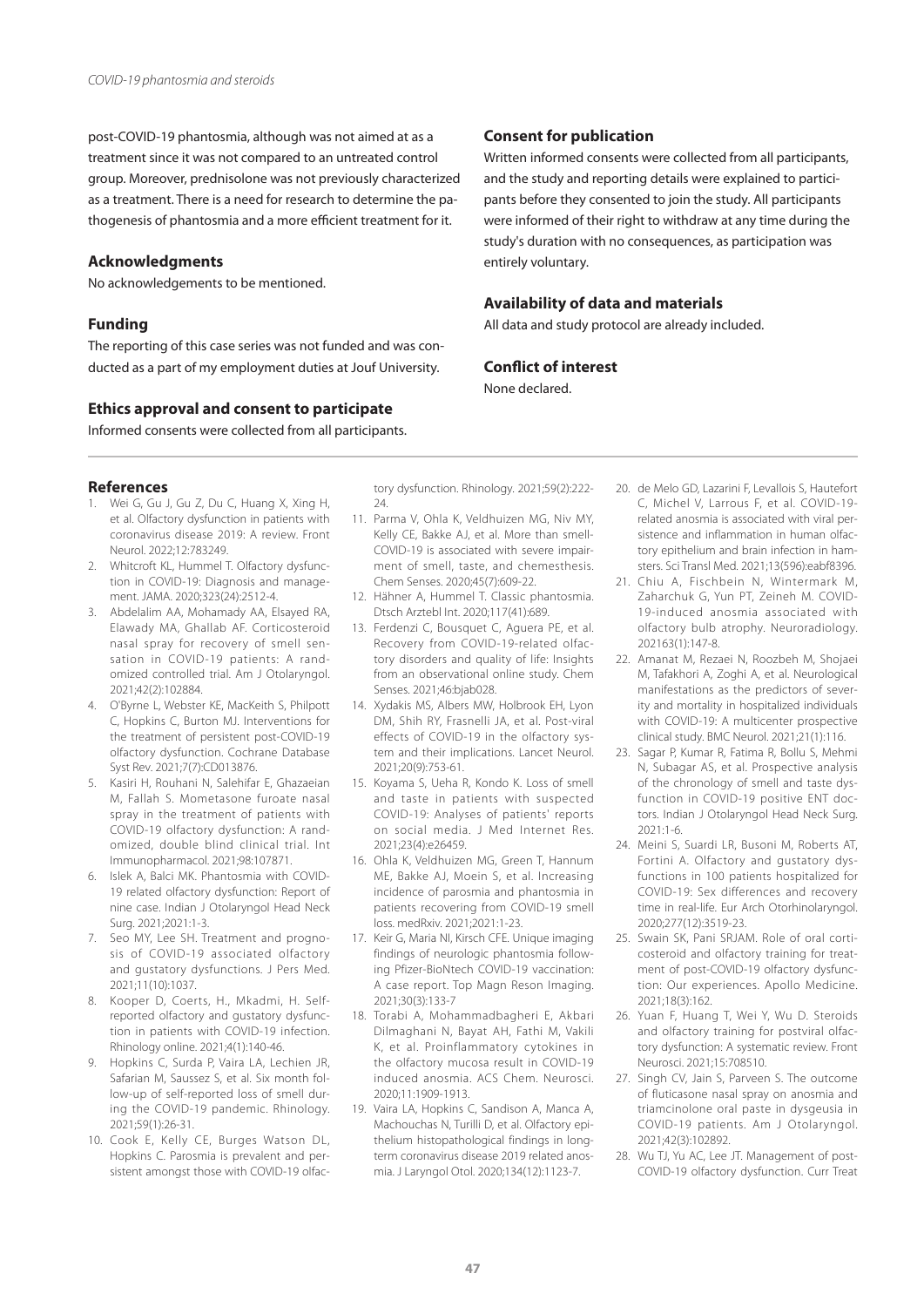post-COVID-19 phantosmia, although was not aimed at as a treatment since it was not compared to an untreated control group. Moreover, prednisolone was not previously characterized as a treatment. There is a need for research to determine the pathogenesis of phantosmia and a more efficient treatment for it.

### **Acknowledgments**

No acknowledgements to be mentioned.

### **Funding**

The reporting of this case series was not funded and was conducted as a part of my employment duties at Jouf University.

#### **Ethics approval and consent to participate**

Informed consents were collected from all participants.

#### **References**

- 1. Wei G, Gu J, Gu Z, Du C, Huang X, Xing H, et al. Olfactory dysfunction in patients with coronavirus disease 2019: A review. Front Neurol. 2022;12:783249.
- 2. Whitcroft KL, Hummel T. Olfactory dysfunction in COVID-19: Diagnosis and management. JAMA. 2020;323(24):2512-4.
- 3. Abdelalim AA, Mohamady AA, Elsayed RA, Elawady MA, Ghallab AF. Corticosteroid nasal spray for recovery of smell sensation in COVID-19 patients: A randomized controlled trial. Am J Otolaryngol. 2021;42(2):102884.
- 4. O'Byrne L, Webster KE, MacKeith S, Philpott C, Hopkins C, Burton MJ. Interventions for the treatment of persistent post-COVID-19 olfactory dysfunction. Cochrane Database Syst Rev. 2021;7(7):CD013876.
- 5. Kasiri H, Rouhani N, Salehifar E, Ghazaeian M, Fallah S. Mometasone furoate nasal spray in the treatment of patients with COVID-19 olfactory dysfunction: A randomized, double blind clinical trial. Int Immunopharmacol. 2021;98:107871.
- 6. Islek A, Balci MK. Phantosmia with COVID-19 related olfactory dysfunction: Report of nine case. Indian J Otolaryngol Head Neck Surg. 2021;2021:1-3.
- 7. Seo MY, Lee SH. Treatment and prognosis of COVID-19 associated olfactory and gustatory dysfunctions. J Pers Med. 2021;11(10):1037.
- 8. Kooper D, Coerts, H., Mkadmi, H. Selfreported olfactory and gustatory dysfunction in patients with COVID-19 infection. Rhinology online. 2021;4(1):140-46.
- 9. Hopkins C, Surda P, Vaira LA, Lechien JR, Safarian M, Saussez S, et al. Six month follow-up of self-reported loss of smell during the COVID-19 pandemic. Rhinology. 2021;59(1):26-31.
- 10. Cook E, Kelly CE, Burges Watson DL, Hopkins C. Parosmia is prevalent and persistent amongst those with COVID-19 olfac-

tory dysfunction. Rhinology. 2021;59(2):222-  $24.$ 

- 11. Parma V, Ohla K, Veldhuizen MG, Niv MY, Kelly CE, Bakke AJ, et al. More than smell-COVID-19 is associated with severe impairment of smell, taste, and chemesthesis. Chem Senses. 2020;45(7):609-22.
- 12. Hähner A, Hummel T. Classic phantosmia. Dtsch Arztebl Int. 2020;117(41):689.
- 13. Ferdenzi C, Bousquet C, Aguera PE, et al. Recovery from COVID-19-related olfactory disorders and quality of life: Insights from an observational online study. Chem Senses. 2021;46:bjab028.
- 14. Xydakis MS, Albers MW, Holbrook EH, Lyon DM, Shih RY, Frasnelli JA, et al. Post-viral effects of COVID-19 in the olfactory system and their implications. Lancet Neurol. 2021;20(9):753-61.
- 15. Koyama S, Ueha R, Kondo K. Loss of smell and taste in patients with suspected COVID-19: Analyses of patients' reports on social media. J Med Internet Res. 2021;23(4):e26459.
- 16. Ohla K, Veldhuizen MG, Green T, Hannum ME, Bakke AJ, Moein S, et al. Increasing incidence of parosmia and phantosmia in patients recovering from COVID-19 smell loss. medRxiv. 2021;2021:1-23.
- 17. Keir G, Maria NI, Kirsch CFE. Unique imaging findings of neurologic phantosmia following Pfizer-BioNtech COVID-19 vaccination: A case report. Top Magn Reson Imaging. 2021;30(3):133-7
- 18. Torabi A, Mohammadbagheri E, Akbari Dilmaghani N, Bayat AH, Fathi M, Vakili K, et al. Proinflammatory cytokines in the olfactory mucosa result in COVID-19 induced anosmia. ACS Chem. Neurosci. 2020;11:1909-1913.
- 19. Vaira LA, Hopkins C, Sandison A, Manca A, Machouchas N, Turilli D, et al. Olfactory epithelium histopathological findings in longterm coronavirus disease 2019 related anosmia. J Laryngol Otol. 2020;134(12):1123-7.

# **Consent for publication**

Written informed consents were collected from all participants, and the study and reporting details were explained to participants before they consented to join the study. All participants were informed of their right to withdraw at any time during the study's duration with no consequences, as participation was entirely voluntary.

### **Availability of data and materials**

All data and study protocol are already included.

## **Conflict of interest**

None declared.

- 20. de Melo GD, Lazarini F, Levallois S, Hautefort C, Michel V, Larrous F, et al. COVID-19 related anosmia is associated with viral persistence and inflammation in human olfactory epithelium and brain infection in hamsters. Sci Transl Med. 2021;13(596):eabf8396.
- 21. Chiu A, Fischbein N, Wintermark M, Zaharchuk G, Yun PT, Zeineh M. COVID-19-induced anosmia associated with olfactory bulb atrophy. Neuroradiology. 202163(1):147-8.
- 22. Amanat M, Rezaei N, Roozbeh M, Shojaei M, Tafakhori A, Zoghi A, et al. Neurological manifestations as the predictors of severity and mortality in hospitalized individuals with COVID-19: A multicenter prospective clinical study. BMC Neurol. 2021;21(1):116.
- 23. Sagar P, Kumar R, Fatima R, Bollu S, Mehmi N, Subagar AS, et al. Prospective analysis of the chronology of smell and taste dysfunction in COVID-19 positive ENT doctors. Indian J Otolaryngol Head Neck Surg. 2021:1-6.
- 24. Meini S, Suardi LR, Busoni M, Roberts AT, Fortini A. Olfactory and gustatory dysfunctions in 100 patients hospitalized for COVID-19: Sex differences and recovery time in real-life. Eur Arch Otorhinolaryngol. 2020;277(12):3519-23.
- 25. Swain SK, Pani SRJAM. Role of oral corticosteroid and olfactory training for treatment of post-COVID-19 olfactory dysfunction: Our experiences. Apollo Medicine. 2021;18(3):162.
- 26. Yuan F, Huang T, Wei Y, Wu D. Steroids and olfactory training for postviral olfactory dysfunction: A systematic review. Front Neurosci. 2021;15:708510.
- 27. Singh CV, Jain S, Parveen S. The outcome of fluticasone nasal spray on anosmia and triamcinolone oral paste in dysgeusia in COVID-19 patients. Am J Otolaryngol. 2021;42(3):102892.
- 28. Wu TJ, Yu AC, Lee JT. Management of post-COVID-19 olfactory dysfunction. Curr Treat